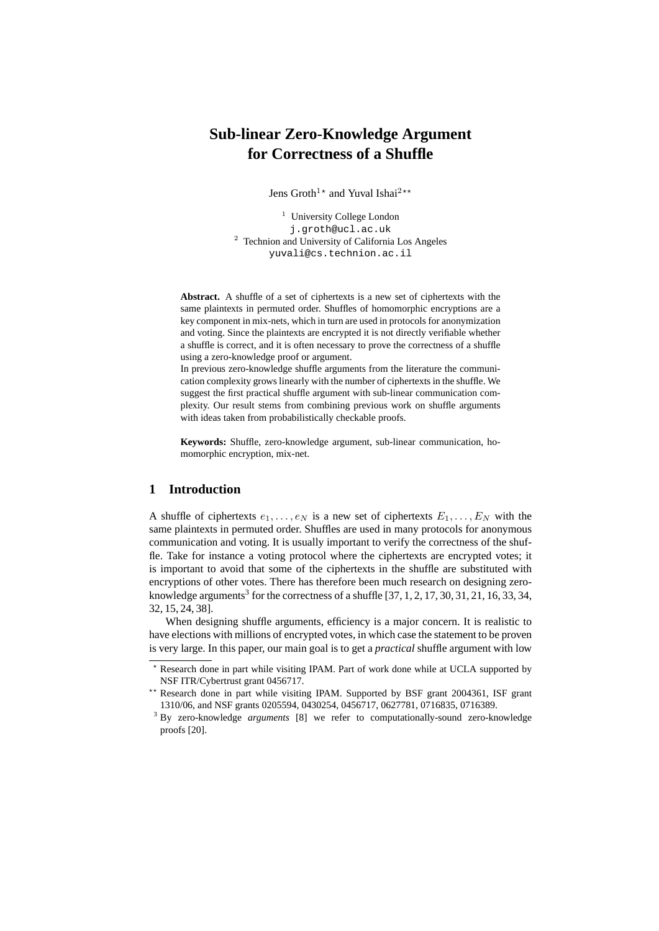# **Sub-linear Zero-Knowledge Argument for Correctness of a Shuffle**

Jens Groth<sup>1\*</sup> and Yuval Ishai<sup>2\*\*</sup>

<sup>1</sup> University College London j.groth@ucl.ac.uk <sup>2</sup> Technion and University of California Los Angeles yuvali@cs.technion.ac.il

**Abstract.** A shuffle of a set of ciphertexts is a new set of ciphertexts with the same plaintexts in permuted order. Shuffles of homomorphic encryptions are a key component in mix-nets, which in turn are used in protocols for anonymization and voting. Since the plaintexts are encrypted it is not directly verifiable whether a shuffle is correct, and it is often necessary to prove the correctness of a shuffle using a zero-knowledge proof or argument.

In previous zero-knowledge shuffle arguments from the literature the communication complexity grows linearly with the number of ciphertexts in the shuffle. We suggest the first practical shuffle argument with sub-linear communication complexity. Our result stems from combining previous work on shuffle arguments with ideas taken from probabilistically checkable proofs.

**Keywords:** Shuffle, zero-knowledge argument, sub-linear communication, homomorphic encryption, mix-net.

# **1 Introduction**

A shuffle of ciphertexts  $e_1, \ldots, e_N$  is a new set of ciphertexts  $E_1, \ldots, E_N$  with the same plaintexts in permuted order. Shuffles are used in many protocols for anonymous communication and voting. It is usually important to verify the correctness of the shuffle. Take for instance a voting protocol where the ciphertexts are encrypted votes; it is important to avoid that some of the ciphertexts in the shuffle are substituted with encryptions of other votes. There has therefore been much research on designing zeroknowledge arguments<sup>3</sup> for the correctness of a shuffle  $[37, 1, 2, 17, 30, 31, 21, 16, 33, 34,$ 32, 15, 24, 38].

When designing shuffle arguments, efficiency is a major concern. It is realistic to have elections with millions of encrypted votes, in which case the statement to be proven is very large. In this paper, our main goal is to get a *practical* shuffle argument with low

<sup>?</sup> Research done in part while visiting IPAM. Part of work done while at UCLA supported by NSF ITR/Cybertrust grant 0456717.

<sup>\*\*</sup> Research done in part while visiting IPAM. Supported by BSF grant 2004361, ISF grant 1310/06, and NSF grants 0205594, 0430254, 0456717, 0627781, 0716835, 0716389.

<sup>3</sup> By zero-knowledge *arguments* [8] we refer to computationally-sound zero-knowledge proofs [20].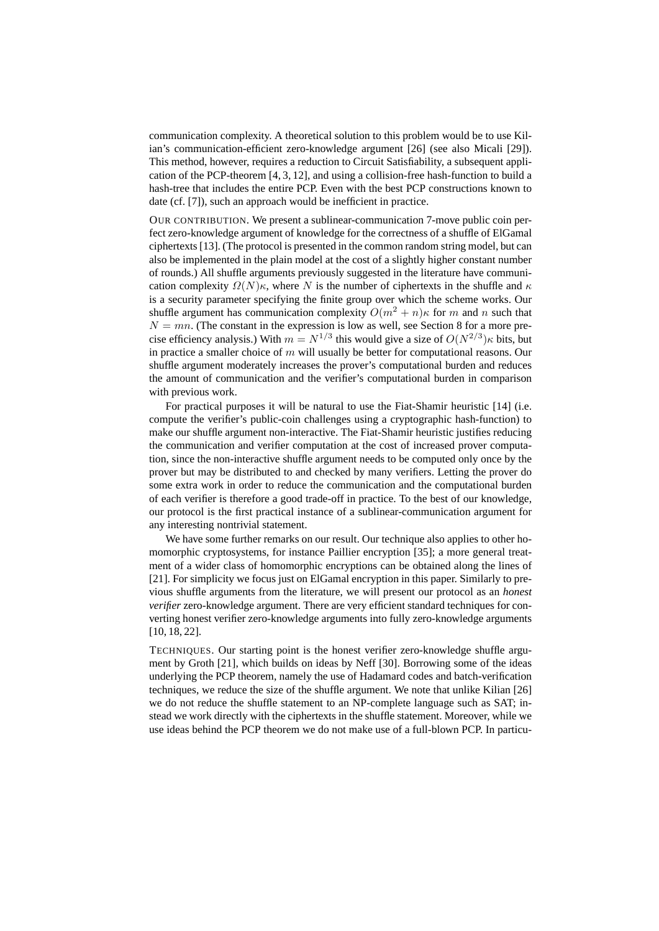communication complexity. A theoretical solution to this problem would be to use Kilian's communication-efficient zero-knowledge argument [26] (see also Micali [29]). This method, however, requires a reduction to Circuit Satisfiability, a subsequent application of the PCP-theorem [4, 3, 12], and using a collision-free hash-function to build a hash-tree that includes the entire PCP. Even with the best PCP constructions known to date (cf. [7]), such an approach would be inefficient in practice.

OUR CONTRIBUTION. We present a sublinear-communication 7-move public coin perfect zero-knowledge argument of knowledge for the correctness of a shuffle of ElGamal ciphertexts [13]. (The protocol is presented in the common random string model, but can also be implemented in the plain model at the cost of a slightly higher constant number of rounds.) All shuffle arguments previously suggested in the literature have communication complexity  $\Omega(N)\kappa$ , where N is the number of ciphertexts in the shuffle and  $\kappa$ is a security parameter specifying the finite group over which the scheme works. Our shuffle argument has communication complexity  $O(m^2 + n)\kappa$  for m and n such that  $N = mn$ . (The constant in the expression is low as well, see Section 8 for a more precise efficiency analysis.) With  $m = N^{1/3}$  this would give a size of  $O(N^{2/3})\kappa$  bits, but in practice a smaller choice of  $m$  will usually be better for computational reasons. Our shuffle argument moderately increases the prover's computational burden and reduces the amount of communication and the verifier's computational burden in comparison with previous work.

For practical purposes it will be natural to use the Fiat-Shamir heuristic [14] (i.e. compute the verifier's public-coin challenges using a cryptographic hash-function) to make our shuffle argument non-interactive. The Fiat-Shamir heuristic justifies reducing the communication and verifier computation at the cost of increased prover computation, since the non-interactive shuffle argument needs to be computed only once by the prover but may be distributed to and checked by many verifiers. Letting the prover do some extra work in order to reduce the communication and the computational burden of each verifier is therefore a good trade-off in practice. To the best of our knowledge, our protocol is the first practical instance of a sublinear-communication argument for any interesting nontrivial statement.

We have some further remarks on our result. Our technique also applies to other homomorphic cryptosystems, for instance Paillier encryption [35]; a more general treatment of a wider class of homomorphic encryptions can be obtained along the lines of [21]. For simplicity we focus just on ElGamal encryption in this paper. Similarly to previous shuffle arguments from the literature, we will present our protocol as an *honest verifier* zero-knowledge argument. There are very efficient standard techniques for converting honest verifier zero-knowledge arguments into fully zero-knowledge arguments [10, 18, 22].

TECHNIQUES. Our starting point is the honest verifier zero-knowledge shuffle argument by Groth [21], which builds on ideas by Neff [30]. Borrowing some of the ideas underlying the PCP theorem, namely the use of Hadamard codes and batch-verification techniques, we reduce the size of the shuffle argument. We note that unlike Kilian [26] we do not reduce the shuffle statement to an NP-complete language such as SAT; instead we work directly with the ciphertexts in the shuffle statement. Moreover, while we use ideas behind the PCP theorem we do not make use of a full-blown PCP. In particu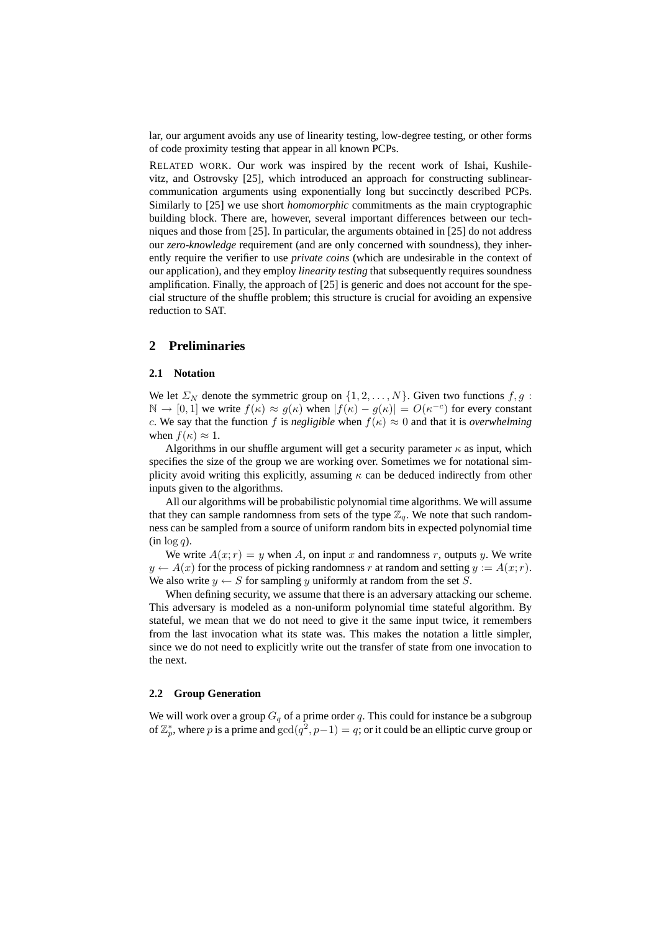lar, our argument avoids any use of linearity testing, low-degree testing, or other forms of code proximity testing that appear in all known PCPs.

RELATED WORK. Our work was inspired by the recent work of Ishai, Kushilevitz, and Ostrovsky [25], which introduced an approach for constructing sublinearcommunication arguments using exponentially long but succinctly described PCPs. Similarly to [25] we use short *homomorphic* commitments as the main cryptographic building block. There are, however, several important differences between our techniques and those from [25]. In particular, the arguments obtained in [25] do not address our *zero-knowledge* requirement (and are only concerned with soundness), they inherently require the verifier to use *private coins* (which are undesirable in the context of our application), and they employ *linearity testing* that subsequently requires soundness amplification. Finally, the approach of [25] is generic and does not account for the special structure of the shuffle problem; this structure is crucial for avoiding an expensive reduction to SAT.

# **2 Preliminaries**

### **2.1 Notation**

We let  $\Sigma_N$  denote the symmetric group on  $\{1, 2, \ldots, N\}$ . Given two functions  $f, g$ :  $\mathbb{N} \to [0,1]$  we write  $f(\kappa) \approx g(\kappa)$  when  $|f(\kappa) - g(\kappa)| = O(\kappa^{-c})$  for every constant c. We say that the function f is *negligible* when  $f(\kappa) \approx 0$  and that it is *overwhelming* when  $f(\kappa) \approx 1$ .

Algorithms in our shuffle argument will get a security parameter  $\kappa$  as input, which specifies the size of the group we are working over. Sometimes we for notational simplicity avoid writing this explicitly, assuming  $\kappa$  can be deduced indirectly from other inputs given to the algorithms.

All our algorithms will be probabilistic polynomial time algorithms. We will assume that they can sample randomness from sets of the type  $\mathbb{Z}_q$ . We note that such randomness can be sampled from a source of uniform random bits in expected polynomial time  $(in log q)$ .

We write  $A(x; r) = y$  when A, on input x and randomness r, outputs y. We write  $y \leftarrow A(x)$  for the process of picking randomness r at random and setting  $y := A(x; r)$ . We also write  $y \leftarrow S$  for sampling y uniformly at random from the set S.

When defining security, we assume that there is an adversary attacking our scheme. This adversary is modeled as a non-uniform polynomial time stateful algorithm. By stateful, we mean that we do not need to give it the same input twice, it remembers from the last invocation what its state was. This makes the notation a little simpler, since we do not need to explicitly write out the transfer of state from one invocation to the next.

### **2.2 Group Generation**

We will work over a group  $G<sub>a</sub>$  of a prime order q. This could for instance be a subgroup of  $\mathbb{Z}_p^*$ , where p is a prime and  $\gcd(q^2, p-1) = q$ ; or it could be an elliptic curve group or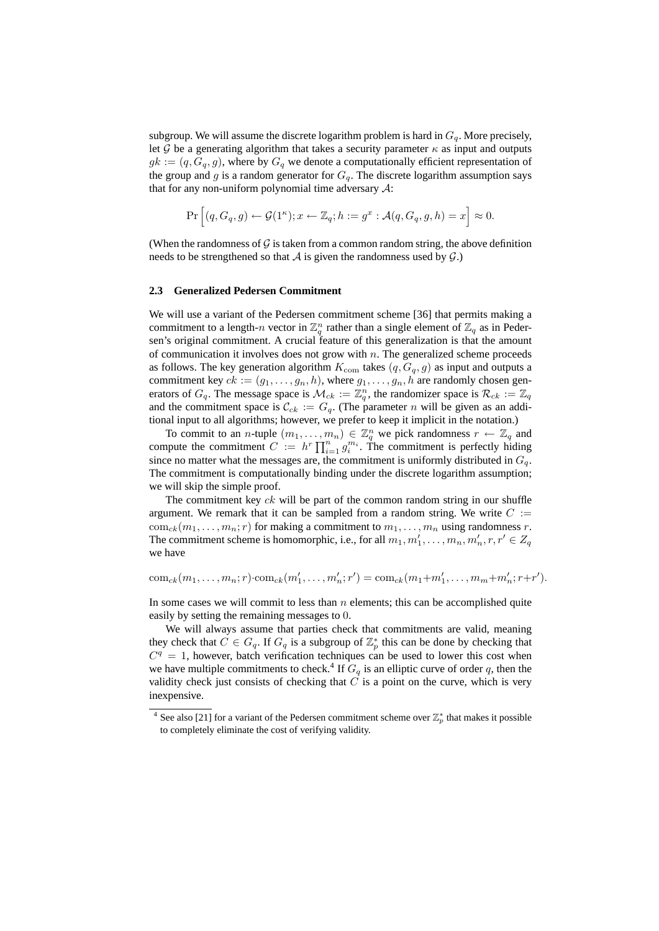subgroup. We will assume the discrete logarithm problem is hard in  $G_q$ . More precisely, let G be a generating algorithm that takes a security parameter  $\kappa$  as input and outputs  $g_k := (q, G_q, g)$ , where by  $G_q$  we denote a computationally efficient representation of the group and g is a random generator for  $G_q$ . The discrete logarithm assumption says that for any non-uniform polynomial time adversary  $\mathcal{A}$ :

$$
\Pr\left[(q, G_q, g) \leftarrow \mathcal{G}(1^{\kappa}); x \leftarrow \mathbb{Z}_q; h := g^x : \mathcal{A}(q, G_q, g, h) = x\right] \approx 0.
$$

(When the randomness of  $\mathcal G$  is taken from a common random string, the above definition needs to be strengthened so that  $A$  is given the randomness used by  $G$ .)

### **2.3 Generalized Pedersen Commitment**

We will use a variant of the Pedersen commitment scheme [36] that permits making a commitment to a length-n vector in  $\mathbb{Z}_q^n$  rather than a single element of  $\mathbb{Z}_q$  as in Pedersen's original commitment. A crucial feature of this generalization is that the amount of communication it involves does not grow with  $n$ . The generalized scheme proceeds as follows. The key generation algorithm  $K_{com}$  takes  $(q, G_q, g)$  as input and outputs a commitment key  $ck := (g_1, \ldots, g_n, h)$ , where  $g_1, \ldots, g_n, h$  are randomly chosen generators of  $G_q$ . The message space is  $\mathcal{M}_{ck} := \mathbb{Z}_q^n$ , the randomizer space is  $\mathcal{R}_{ck} := \mathbb{Z}_q$ and the commitment space is  $\mathcal{C}_{ck} := G_q$ . (The parameter n will be given as an additional input to all algorithms; however, we prefer to keep it implicit in the notation.)

To commit to an *n*-tuple  $(m_1, \ldots, m_n) \in \mathbb{Z}_q^n$  we pick randomness  $r \leftarrow \mathbb{Z}_q$  and compute the commitment  $C := h^r \prod_{i=1}^n g_i^{m_i}$ . The commitment is perfectly hiding since no matter what the messages are, the commitment is uniformly distributed in  $G_q$ . The commitment is computationally binding under the discrete logarithm assumption; we will skip the simple proof.

The commitment key  $ck$  will be part of the common random string in our shuffle argument. We remark that it can be sampled from a random string. We write  $C :=$  $\text{com}_{ck}(m_1, \ldots, m_n; r)$  for making a commitment to  $m_1, \ldots, m_n$  using randomness r. The commitment scheme is homomorphic, i.e., for all  $m_1, m'_1, \ldots, m_n, m'_n, r, r' \in Z_q$ we have

 $\text{com}_{ck}(m_1, \ldots, m_n; r) \cdot \text{com}_{ck}(m'_1, \ldots, m'_n; r') = \text{com}_{ck}(m_1 + m'_1, \ldots, m_m + m'_n; r + r').$ 

In some cases we will commit to less than  $n$  elements; this can be accomplished quite easily by setting the remaining messages to 0.

We will always assume that parties check that commitments are valid, meaning they check that  $C \in G_q$ . If  $G_q$  is a subgroup of  $\mathbb{Z}_p^*$  this can be done by checking that  $C<sup>q</sup> = 1$ , however, batch verification techniques can be used to lower this cost when we have multiple commitments to check.<sup>4</sup> If  $G_q$  is an elliptic curve of order q, then the validity check just consists of checking that  $\overline{C}$  is a point on the curve, which is very inexpensive.

<sup>&</sup>lt;sup>4</sup> See also [21] for a variant of the Pedersen commitment scheme over  $\mathbb{Z}_p^*$  that makes it possible to completely eliminate the cost of verifying validity.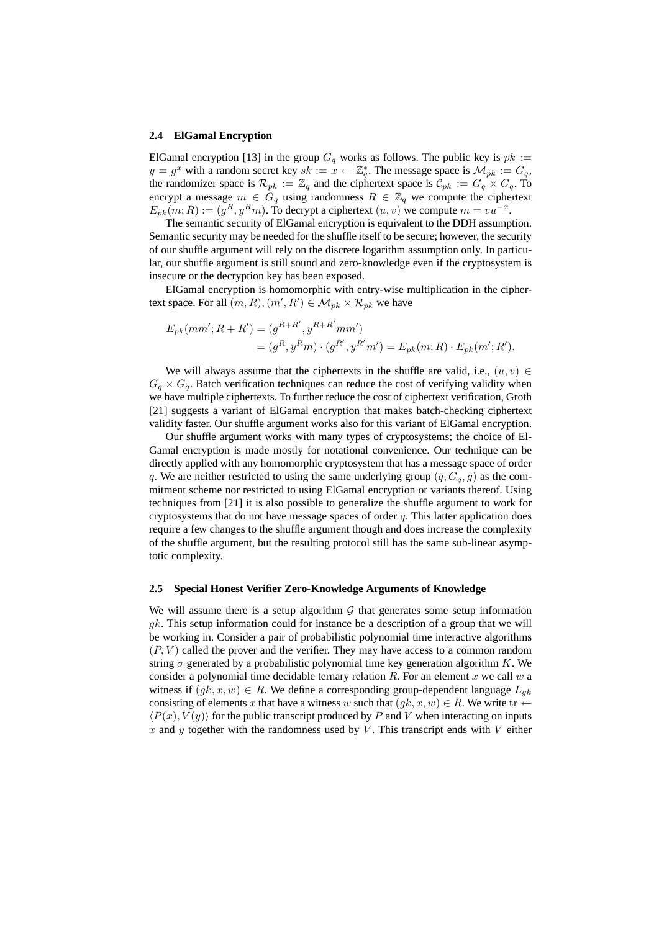#### **2.4 ElGamal Encryption**

ElGamal encryption [13] in the group  $G_q$  works as follows. The public key is  $pk :=$  $y = g^x$  with a random secret key  $sk := x \leftarrow \mathbb{Z}_q^*$ . The message space is  $\mathcal{M}_{pk} := G_q$ , the randomizer space is  $\mathcal{R}_{pk} := \mathbb{Z}_q$  and the ciphertext space is  $\mathcal{C}_{pk} := G_q \times G_q$ . To encrypt a message  $m \in G_q$  using randomness  $R \in \mathbb{Z}_q$  we compute the ciphertext  $E_{pk}(m;R) := (g^R, y^Rm)$ . To decrypt a ciphertext  $(u, v)$  we compute  $m = vu^{-x}$ .

The semantic security of ElGamal encryption is equivalent to the DDH assumption. Semantic security may be needed for the shuffle itself to be secure; however, the security of our shuffle argument will rely on the discrete logarithm assumption only. In particular, our shuffle argument is still sound and zero-knowledge even if the cryptosystem is insecure or the decryption key has been exposed.

ElGamal encryption is homomorphic with entry-wise multiplication in the ciphertext space. For all  $(m, R), (m', R') \in \mathcal{M}_{pk} \times \mathcal{R}_{pk}$  we have

$$
E_{pk}(mm';R+R') = (g^{R+R'}, y^{R+R'}mm')
$$
  
=  $(g^R, y^Rm) \cdot (g^{R'}, y^{R'}m') = E_{pk}(m;R) \cdot E_{pk}(m';R').$ 

We will always assume that the ciphertexts in the shuffle are valid, i.e.,  $(u, v) \in$  $G_q \times G_q$ . Batch verification techniques can reduce the cost of verifying validity when we have multiple ciphertexts. To further reduce the cost of ciphertext verification, Groth [21] suggests a variant of ElGamal encryption that makes batch-checking ciphertext validity faster. Our shuffle argument works also for this variant of ElGamal encryption.

Our shuffle argument works with many types of cryptosystems; the choice of El-Gamal encryption is made mostly for notational convenience. Our technique can be directly applied with any homomorphic cryptosystem that has a message space of order q. We are neither restricted to using the same underlying group  $(q, G_q, g)$  as the commitment scheme nor restricted to using ElGamal encryption or variants thereof. Using techniques from [21] it is also possible to generalize the shuffle argument to work for cryptosystems that do not have message spaces of order  $q$ . This latter application does require a few changes to the shuffle argument though and does increase the complexity of the shuffle argument, but the resulting protocol still has the same sub-linear asymptotic complexity.

### **2.5 Special Honest Verifier Zero-Knowledge Arguments of Knowledge**

We will assume there is a setup algorithm  $G$  that generates some setup information gk. This setup information could for instance be a description of a group that we will be working in. Consider a pair of probabilistic polynomial time interactive algorithms  $(P, V)$  called the prover and the verifier. They may have access to a common random string  $\sigma$  generated by a probabilistic polynomial time key generation algorithm K. We consider a polynomial time decidable ternary relation R. For an element x we call  $w$  a witness if  $(gk, x, w) \in R$ . We define a corresponding group-dependent language  $L_{ak}$ consisting of elements x that have a witness w such that  $(gk, x, w) \in R$ . We write tr  $\leftarrow$  $\langle P(x), V(y) \rangle$  for the public transcript produced by P and V when interacting on inputs x and y together with the randomness used by V. This transcript ends with V either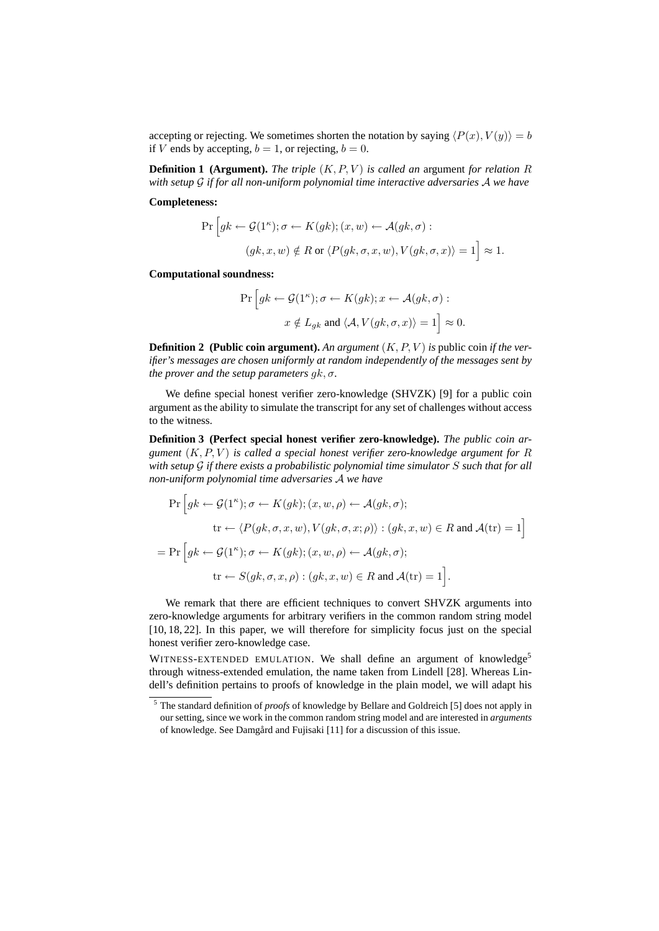accepting or rejecting. We sometimes shorten the notation by saying  $\langle P(x), V(y) \rangle = b$ if V ends by accepting,  $b = 1$ , or rejecting,  $b = 0$ .

**Definition 1 (Argument).** *The triple*  $(K, P, V)$  *is called an argument for relation* R *with setup* G *if for all non-uniform polynomial time interactive adversaries* A *we have*

**Completeness:**

$$
\Pr\left[gk \leftarrow \mathcal{G}(1^{\kappa}); \sigma \leftarrow K(gk); (x, w) \leftarrow \mathcal{A}(gk, \sigma):(gk, x, w) \notin R \text{ or } \langle P(gk, \sigma, x, w), V(gk, \sigma, x) \rangle = 1\right] \approx 1.
$$

**Computational soundness:**

$$
\Pr\left[gk \leftarrow \mathcal{G}(1^{\kappa}); \sigma \leftarrow K(gk); x \leftarrow \mathcal{A}(gk, \sigma):
$$
  

$$
x \notin L_{gk} \text{ and } \langle \mathcal{A}, V(gk, \sigma, x) \rangle = 1\right] \approx 0.
$$

**Definition 2** (Public coin argument). An argument  $(K, P, V)$  is public coin *if the verifier's messages are chosen uniformly at random independently of the messages sent by the prover and the setup parameters*  $qk, \sigma$ *.* 

We define special honest verifier zero-knowledge (SHVZK) [9] for a public coin argument as the ability to simulate the transcript for any set of challenges without access to the witness.

**Definition 3 (Perfect special honest verifier zero-knowledge).** *The public coin argument*  $(K, P, V)$  *is called a special honest verifier zero-knowledge argument for*  $R$ *with setup* G *if there exists a probabilistic polynomial time simulator* S *such that for all non-uniform polynomial time adversaries* A *we have*

$$
\Pr\Big[gk \leftarrow \mathcal{G}(1^{\kappa}); \sigma \leftarrow K(gk); (x, w, \rho) \leftarrow \mathcal{A}(gk, \sigma);
$$
\n
$$
\text{tr} \leftarrow \langle P(gk, \sigma, x, w), V(gk, \sigma, x; \rho) \rangle : (gk, x, w) \in R \text{ and } \mathcal{A}(\text{tr}) = 1\Big]
$$
\n
$$
= \Pr\Big[gk \leftarrow \mathcal{G}(1^{\kappa}); \sigma \leftarrow K(gk); (x, w, \rho) \leftarrow \mathcal{A}(gk, \sigma);
$$
\n
$$
\text{tr} \leftarrow S(gk, \sigma, x, \rho) : (gk, x, w) \in R \text{ and } \mathcal{A}(\text{tr}) = 1\Big].
$$

We remark that there are efficient techniques to convert SHVZK arguments into zero-knowledge arguments for arbitrary verifiers in the common random string model [10, 18, 22]. In this paper, we will therefore for simplicity focus just on the special honest verifier zero-knowledge case.

WITNESS-EXTENDED EMULATION. We shall define an argument of knowledge<sup>5</sup> through witness-extended emulation, the name taken from Lindell [28]. Whereas Lindell's definition pertains to proofs of knowledge in the plain model, we will adapt his

<sup>5</sup> The standard definition of *proofs* of knowledge by Bellare and Goldreich [5] does not apply in our setting, since we work in the common random string model and are interested in *arguments* of knowledge. See Damgård and Fujisaki [11] for a discussion of this issue.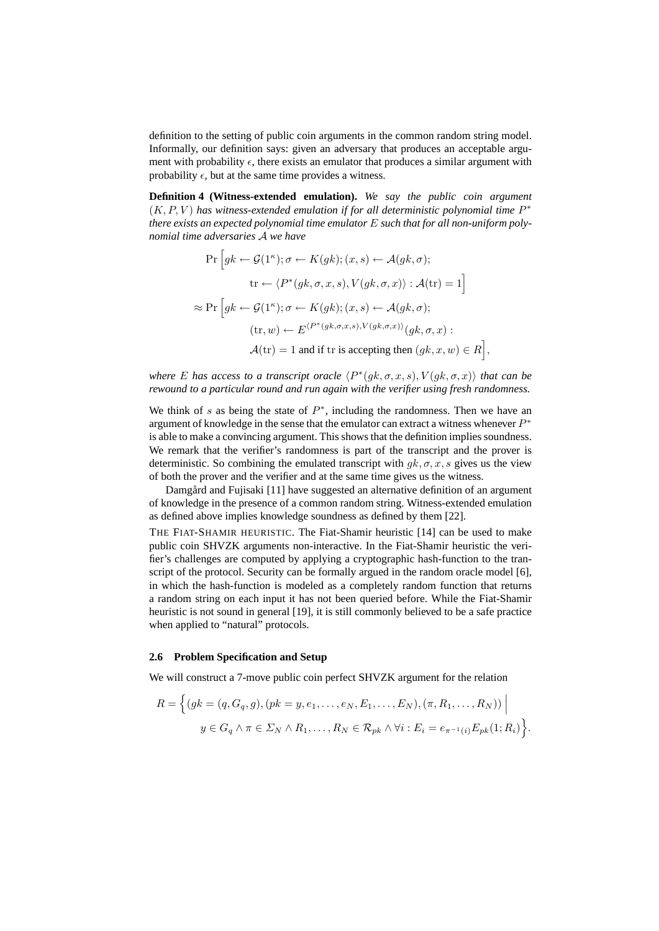definition to the setting of public coin arguments in the common random string model. Informally, our definition says: given an adversary that produces an acceptable argument with probability  $\epsilon$ , there exists an emulator that produces a similar argument with probability  $\epsilon$ , but at the same time provides a witness.

**Definition 4 (Witness-extended emulation).** *We say the public coin argument*  $(K, P, V)$  has witness-extended emulation if for all deterministic polynomial time  $P^*$ *there exists an expected polynomial time emulator* E *such that for all non-uniform polynomial time adversaries* A *we have*

$$
\Pr\left[ gk \leftarrow \mathcal{G}(1^{\kappa}); \sigma \leftarrow K(gk); (x, s) \leftarrow \mathcal{A}(gk, \sigma);
$$
\n
$$
\text{tr} \leftarrow \langle P^*(gk, \sigma, x, s), V(gk, \sigma, x) \rangle : \mathcal{A}(\text{tr}) = 1 \right]
$$
\n
$$
\approx \Pr\left[ gk \leftarrow \mathcal{G}(1^{\kappa}); \sigma \leftarrow K(gk); (x, s) \leftarrow \mathcal{A}(gk, \sigma);
$$
\n
$$
(\text{tr}, w) \leftarrow E^{\langle P^*(gk, \sigma, x, s), V(gk, \sigma, x) \rangle} (gk, \sigma, x) :
$$
\n
$$
\mathcal{A}(\text{tr}) = 1 \text{ and if } \text{tr} \text{ is accepting then } (gk, x, w) \in R \right],
$$

*where* E has access to a transcript oracle  $\langle P^*(gk, \sigma, x, s), V(gk, \sigma, x) \rangle$  that can be *rewound to a particular round and run again with the verifier using fresh randomness.*

We think of s as being the state of  $P^*$ , including the randomness. Then we have an argument of knowledge in the sense that the emulator can extract a witness whenever  $P^*$ is able to make a convincing argument. This shows that the definition implies soundness. We remark that the verifier's randomness is part of the transcript and the prover is deterministic. So combining the emulated transcript with  $g_k, \sigma, x, s$  gives us the view of both the prover and the verifier and at the same time gives us the witness.

Damgård and Fujisaki [11] have suggested an alternative definition of an argument of knowledge in the presence of a common random string. Witness-extended emulation as defined above implies knowledge soundness as defined by them [22].

THE FIAT-SHAMIR HEURISTIC. The Fiat-Shamir heuristic [14] can be used to make public coin SHVZK arguments non-interactive. In the Fiat-Shamir heuristic the verifier's challenges are computed by applying a cryptographic hash-function to the transcript of the protocol. Security can be formally argued in the random oracle model [6], in which the hash-function is modeled as a completely random function that returns a random string on each input it has not been queried before. While the Fiat-Shamir heuristic is not sound in general [19], it is still commonly believed to be a safe practice when applied to "natural" protocols.

#### **2.6 Problem Specification and Setup**

We will construct a 7-move public coin perfect SHVZK argument for the relation

$$
R = \left\{ (gk = (q, G_q, g), (pk = y, e_1, \dots, e_N, E_1, \dots, E_N), (\pi, R_1, \dots, R_N)) \middle| \right\}
$$
  

$$
y \in G_q \land \pi \in \Sigma_N \land R_1, \dots, R_N \in \mathcal{R}_{pk} \land \forall i : E_i = e_{\pi^{-1}(i)} E_{pk}(1; R_i) \right\}.
$$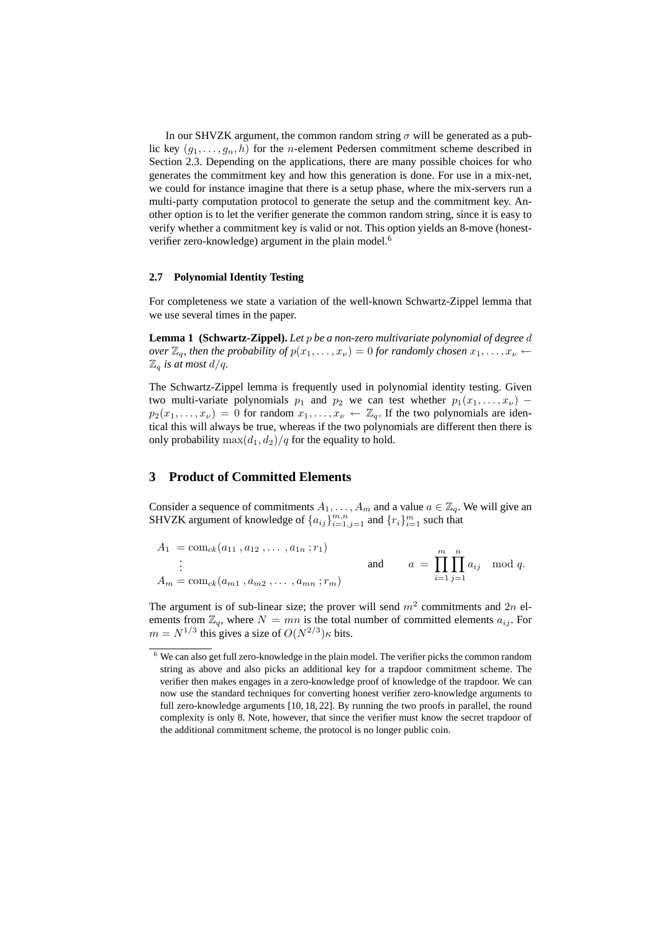In our SHVZK argument, the common random string  $\sigma$  will be generated as a public key  $(g_1, \ldots, g_n, h)$  for the *n*-element Pedersen commitment scheme described in Section 2.3. Depending on the applications, there are many possible choices for who generates the commitment key and how this generation is done. For use in a mix-net, we could for instance imagine that there is a setup phase, where the mix-servers run a multi-party computation protocol to generate the setup and the commitment key. Another option is to let the verifier generate the common random string, since it is easy to verify whether a commitment key is valid or not. This option yields an 8-move (honestverifier zero-knowledge) argument in the plain model.<sup>6</sup>

### **2.7 Polynomial Identity Testing**

For completeness we state a variation of the well-known Schwartz-Zippel lemma that we use several times in the paper.

**Lemma 1 (Schwartz-Zippel).** *Let* p *be a non-zero multivariate polynomial of degree* d *over*  $\mathbb{Z}_q$ *, then the probability of*  $p(x_1, \ldots, x_\nu) = 0$  *for randomly chosen*  $x_1, \ldots, x_\nu \leftarrow$  $\mathbb{Z}_q$  *is at most d/q.* 

The Schwartz-Zippel lemma is frequently used in polynomial identity testing. Given two multi-variate polynomials  $p_1$  and  $p_2$  we can test whether  $p_1(x_1, \ldots, x_\nu)$  −  $p_2(x_1, \ldots, x_\nu) = 0$  for random  $x_1, \ldots, x_\nu \leftarrow \mathbb{Z}_q$ . If the two polynomials are identical this will always be true, whereas if the two polynomials are different then there is only probability  $\max(d_1, d_2)/q$  for the equality to hold.

## **3 Product of Committed Elements**

Consider a sequence of commitments  $A_1, \ldots, A_m$  and a value  $a \in \mathbb{Z}_q$ . We will give an SHVZK argument of knowledge of  $\{a_{ij}\}_{i=1,j=1}^{m,n}$  and  $\{r_i\}_{i=1}^m$  such that

$$
A_1 = \text{com}_{ck}(a_{11}, a_{12}, \dots, a_{1n}; r_1)
$$
  
\n
$$
\vdots
$$
  
\n
$$
A_m = \text{com}_{ck}(a_{m1}, a_{m2}, \dots, a_{mn}; r_m)
$$
  
\nand  
\n
$$
a = \prod_{i=1}^m \prod_{j=1}^n a_{ij} \mod q.
$$

The argument is of sub-linear size; the prover will send  $m^2$  commitments and  $2n$  elements from  $\mathbb{Z}_q$ , where  $N = mn$  is the total number of committed elements  $a_{ij}$ . For  $m = N^{1/3}$  this gives a size of  $O(N^{2/3})\kappa$  bits.

 $6$  We can also get full zero-knowledge in the plain model. The verifier picks the common random string as above and also picks an additional key for a trapdoor commitment scheme. The verifier then makes engages in a zero-knowledge proof of knowledge of the trapdoor. We can now use the standard techniques for converting honest verifier zero-knowledge arguments to full zero-knowledge arguments [10, 18, 22]. By running the two proofs in parallel, the round complexity is only 8. Note, however, that since the verifier must know the secret trapdoor of the additional commitment scheme, the protocol is no longer public coin.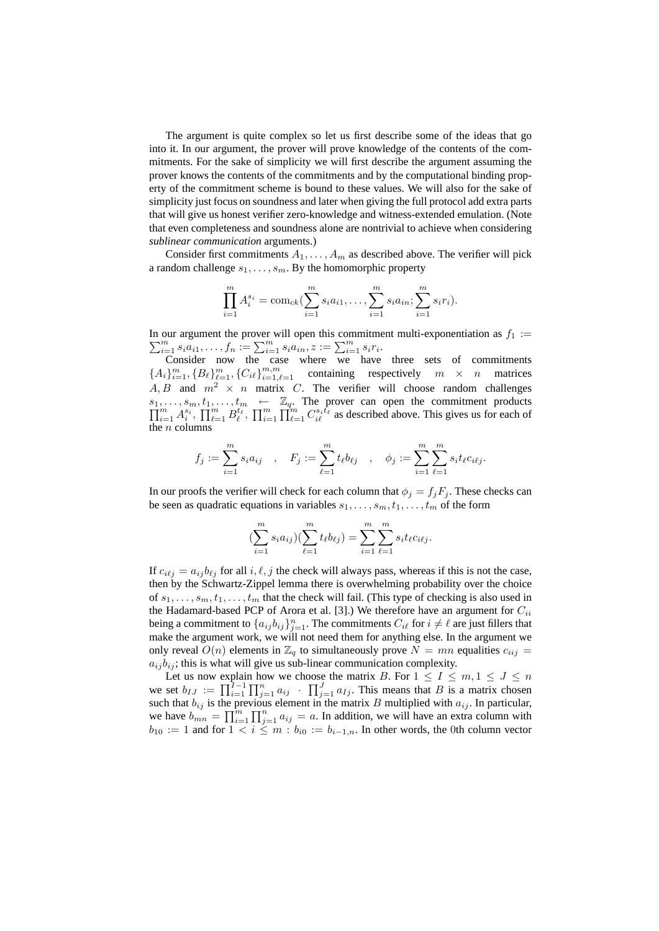The argument is quite complex so let us first describe some of the ideas that go into it. In our argument, the prover will prove knowledge of the contents of the commitments. For the sake of simplicity we will first describe the argument assuming the prover knows the contents of the commitments and by the computational binding property of the commitment scheme is bound to these values. We will also for the sake of simplicity just focus on soundness and later when giving the full protocol add extra parts that will give us honest verifier zero-knowledge and witness-extended emulation. (Note that even completeness and soundness alone are nontrivial to achieve when considering *sublinear communication* arguments.)

Consider first commitments  $A_1, \ldots, A_m$  as described above. The verifier will pick a random challenge  $s_1, \ldots, s_m$ . By the homomorphic property

$$
\prod_{i=1}^{m} A_i^{s_i} = \text{com}_{ck}(\sum_{i=1}^{m} s_i a_{i1}, \dots, \sum_{i=1}^{m} s_i a_{in}; \sum_{i=1}^{m} s_i r_i).
$$

In our argument the prover will open this commitment multi-exponentiation as  $\sum$ our argument the prover will open this commitment multi-exponentiation as  $f_1 := \frac{m}{i=1} s_i a_{i1}, \ldots, f_n := \sum_{i=1}^m s_i a_{in}, z := \sum_{i=1}^m s_i r_i$ .

Consider now the case where we have three sets of commitments  ${A_i}_{i=1}^m, {B_\ell}_{\ell=1}^m, {C_{i\ell}}_{i=1}^{m,m}$  containing respectively  $m \times n$  matrices A, B and  $m^2 \times n$  matrix C. The verifier will choose random challenges  $\Pi$  $s_1, \ldots, s_m, t_1, \ldots, t_m \leftarrow \mathbb{Z}_q$ . The prover can open the commitment products  $\prod_{i=1}^m A_i^{s_i}, \prod_{\ell=1}^m B_\ell^{t_\ell}, \prod_{i=1}^m \prod_{\ell=1}^m C_{i\ell}^{s_i t_\ell}$  as described above. This gives us for each of the  $n$  columns

$$
f_j := \sum_{i=1}^m s_i a_{ij} , \quad F_j := \sum_{\ell=1}^m t_\ell b_{\ell j} , \quad \phi_j := \sum_{i=1}^m \sum_{\ell=1}^m s_i t_\ell c_{i\ell j}.
$$

In our proofs the verifier will check for each column that  $\phi_i = f_i F_i$ . These checks can be seen as quadratic equations in variables  $s_1, \ldots, s_m, t_1, \ldots, t_m$  of the form

$$
(\sum_{i=1}^{m} s_i a_{ij}) (\sum_{\ell=1}^{m} t_{\ell} b_{\ell j}) = \sum_{i=1}^{m} \sum_{\ell=1}^{m} s_i t_{\ell} c_{i\ell j}.
$$

If  $c_{i\ell j} = a_{ij} b_{\ell j}$  for all  $i, \ell, j$  the check will always pass, whereas if this is not the case, then by the Schwartz-Zippel lemma there is overwhelming probability over the choice of  $s_1, \ldots, s_m, t_1, \ldots, t_m$  that the check will fail. (This type of checking is also used in the Hadamard-based PCP of Arora et al. [3].) We therefore have an argument for  $C_{ii}$ being a commitment to  $\{a_{ij}b_{ij}\}_{j=1}^n$ . The commitments  $C_{i\ell}$  for  $i \neq \ell$  are just fillers that make the argument work, we will not need them for anything else. In the argument we only reveal  $O(n)$  elements in  $\mathbb{Z}_q$  to simultaneously prove  $N = mn$  equalities  $c_{iij} =$  $a_{ij}b_{ij}$ ; this is what will give us sub-linear communication complexity.

Let us now explain how we choose the matrix B. For  $1 \le I \le m, 1 \le J \le n$ we set  $b_{IJ} := \prod_{i=1}^{I-1} \prod_{j=1}^{n} a_{ij} + \prod_{j=1}^{J} a_{Ij}$ . This means that B is a matrix chosen such that  $b_{ij}$  is the previous element in the matrix B multiplied with  $a_{ij}$ . In particular, we have  $b_{mn} = \prod_{i=1}^m \prod_{j=1}^n a_{ij} = a$ . In addition, we will have an extra column with  $b_{10} := 1$  and for  $1 < i \leq m : b_{i0} := b_{i-1,n}$ . In other words, the 0th column vector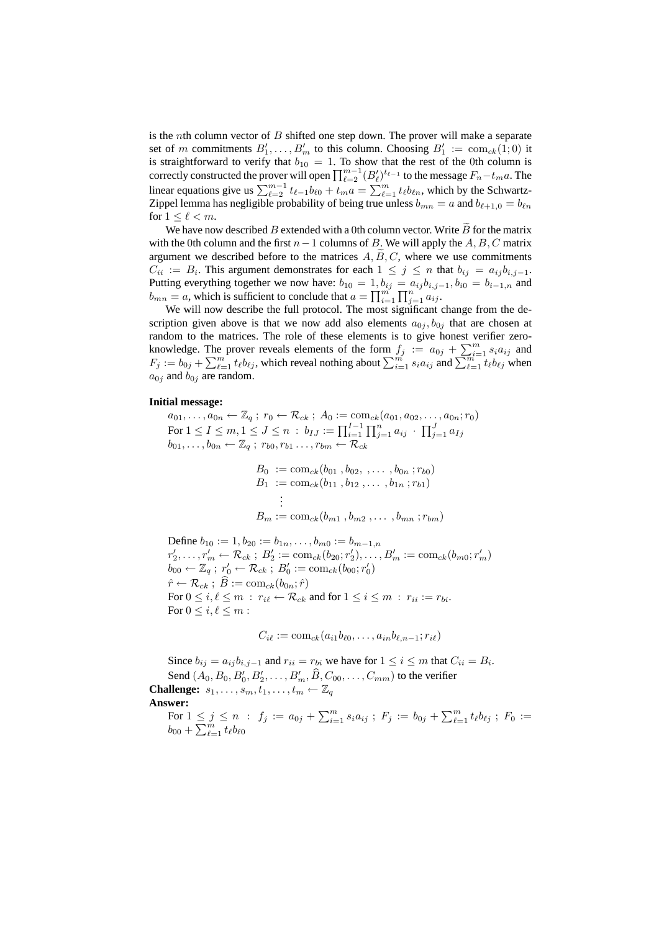is the *n*th column vector of  $B$  shifted one step down. The prover will make a separate set of m commitments  $B'_1, \ldots, B'_m$  to this column. Choosing  $B'_1 := \text{com}_{ck}(1,0)$  it is straightforward to verify that  $b_{10} = 1$ . To show that the rest of the 0th column is correctly constructed the prover will open  $\prod_{\ell=2}^{m-1} (B'_\ell)^{t_{\ell-1}}$  to the message  $F_n-t_ma$ . The linear equations give us  $\sum_{\ell=2}^{m-1} t_{\ell-1} b_{\ell 0} + t_m a = \sum_{\ell=1}^{m} t_{\ell} b_{\ell n}$ , which by the Schwartz-Zippel lemma has negligible probability of being true unless  $b_{mn} = a$  and  $b_{\ell+1,0} = b_{\ell n}$ for  $1 \leq \ell < m$ .

We have now described B extended with a 0th column vector. Write  $\tilde{B}$  for the matrix with the 0th column and the first  $n-1$  columns of B. We will apply the A, B, C matrix argument we described before to the matrices  $A, B, C$ , where we use commitments  $C_{ii} := B_i$ . This argument demonstrates for each  $1 \leq j \leq n$  that  $b_{ij} = a_{ij}b_{i,j-1}$ . Putting everything together we now have:  $b_{10} = 1$ ,  $b_{ij} = a_{ij}b_{i,j-1}$ ,  $b_{i0} = b_{i-1,n}$  and  $b_{mn} = a$ , which is sufficient to conclude that  $a = \prod_{i=1}^{m} \prod_{j=1}^{n} a_{ij}$ .

We will now describe the full protocol. The most significant change from the description given above is that we now add also elements  $a_{0i}$ ,  $b_{0i}$  that are chosen at random to the matrices. The role of these elements is to give honest verifier zeroknowledge. The prover reveals elements of the form  $f_j := a_{0j} + \sum_{i=1}^m s_i a_{ij}$  and  $F_j := b_{0j} + \sum_{\ell=1}^m t_\ell b_{\ell j}$ , which reveal nothing about  $\sum_{i=1}^m s_i a_{ij}$  and  $\sum_{\ell=1}^{m-1} t_\ell b_{\ell j}$  when  $a_{0j}$  and  $b_{0j}$  are random.

#### **Initial message:**

 $a_{01}, \ldots, a_{0n} \leftarrow \mathbb{Z}_q$ ;  $r_0 \leftarrow \mathcal{R}_{ck}$ ;  $A_0 := \text{com}_{ck}(a_{01}, a_{02}, \ldots, a_{0n}; r_0)$ For  $1 \le I \le m, 1 \le J \le n$  :  $b_{IJ} := \prod_{i=1}^{I-1} \prod_{j=1}^n a_{ij}$   $\cdot$   $\prod_{j=1}^J a_{IJ}$  $b_{01}, \ldots, b_{0n} \leftarrow \mathbb{Z}_q$ ;  $r_{b0}, r_{b1} \ldots, r_{bm} \leftarrow \mathcal{R}_{ck}$ 

$$
B_0 := \text{com}_{ck}(b_{01}, b_{02}, \dots, b_{0n}; r_{b0})
$$
  
\n
$$
B_1 := \text{com}_{ck}(b_{11}, b_{12}, \dots, b_{1n}; r_{b1})
$$
  
\n
$$
\vdots
$$
  
\n
$$
B_m := \text{com}_{ck}(b_{m1}, b_{m2}, \dots, b_{mn}; r_{bm})
$$

Define  $b_{10} := 1, b_{20} := b_{1n}, \ldots, b_{m0} := b_{m-1,n}$  $r'_2, \ldots, r'_m \leftarrow \mathcal{R}_{ck}$ ;  $B'_2 := \text{com}_{ck}(b_{20}; r'_2), \ldots, B'_m := \text{com}_{ck}(b_{m0}; r'_m)$  $\overline{b_{00}} \leftarrow \overline{\mathbb{Z}_q} \ ; \ r_0' \leftarrow \mathcal{R}_{ck} \ ; \ B_0' := \mathrm{com}_{ck}(\overline{b_{00}}; r_0')$  $\hat{r} \leftarrow \mathcal{R}_{ck}$ ;  $\hat{B} := \text{com}_{ck}(b_{0n}; \hat{r})$ For  $0 \le i, \ell \le m$ :  $r_{i\ell} \leftarrow \mathcal{R}_{ck}$  and for  $1 \le i \le m$ :  $r_{ii} := r_{bi}$ . For  $0 \leq i, \ell \leq m$ :

$$
C_{i\ell} := \mathrm{com}_{ck}(a_{i1}b_{\ell 0},\ldots,a_{in}b_{\ell,n-1};r_{i\ell})
$$

Since  $b_{ij} = a_{ij}b_{i,j-1}$  and  $r_{ii} = r_{bi}$  we have for  $1 \le i \le m$  that  $C_{ii} = B_i$ . Send  $(A_0, B_0, B'_0, B'_2, \dots, B'_m, \widehat{B}, C_{00}, \dots, C_{mm})$  to the verifier **Challenge:**  $s_1, \ldots, s_m, t_1, \ldots, t_m \leftarrow \mathbb{Z}_q$ **Answer:** For  $1 \leq j \leq n$  :  $f_j := a_{0j} + \sum_{i=1}^m s_i a_{ij}$ ;  $F_j := b_{0j} + \sum_{\ell=1}^m t_\ell b_{\ell j}$ ;  $F_0 :=$ 

 $b_{00} + \sum_{\ell=1}^{\tilde{m}} t_{\ell} b_{\ell 0}$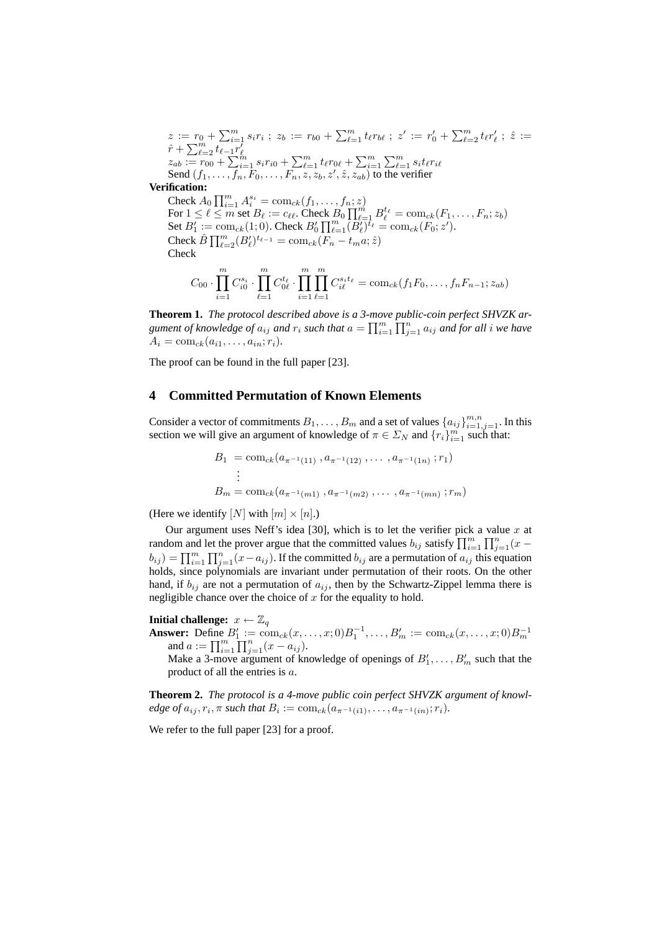$$
z := r_0 + \sum_{\ell=1}^m s_i r_i ; z_b := r_{b0} + \sum_{\ell=1}^m t_\ell r_{b\ell} ; z' := r'_0 + \sum_{\ell=2}^m t_\ell r'_\ell ; \hat{z} :=
$$
  
\n
$$
\hat{r} + \sum_{\ell=2}^m t_{\ell-1} r'_\ell
$$
  
\n
$$
z_{ab} := r_{00} + \sum_{i=1}^m s_i r_{i0} + \sum_{\ell=1}^m t_\ell r_{0\ell} + \sum_{i=1}^m \sum_{\ell=1}^m s_i t_\ell r_{i\ell}
$$
  
\nSend  $(f_1, \ldots, f_n, F_0, \ldots, F_n, z, z_b, z', \hat{z}, z_{ab})$  to the verifier  
\n**Verification:**  
\nCheck  $A_0 \prod_{i=1}^m A_i^{s_i} = \text{com}_{ck}(f_1, \ldots, f_n; z)$   
\nFor  $1 \leq \ell \leq m$  set  $B_\ell := c_{\ell\ell}$ . Check  $B_0 \prod_{\ell=1}^m B_\ell^{t_\ell} = \text{com}_{ck}(F_1, \ldots, F_n; z_b)$   
\nSet  $B'_1 := \text{com}_{ck}(1; 0)$ . Check  $B'_0 \prod_{\ell=1}^m (B'_\ell)^{t_\ell} = \text{com}_{ck}(F_0; z').$   
\nCheck  $\hat{B} \prod_{\ell=2}^m (B'_\ell)^{t_{\ell-1}} = \text{com}_{ck}(F_n - t_m a; \hat{z})$   
\nCheck

$$
C_{00} \cdot \prod_{i=1}^{m} C_{i0}^{s_i} \cdot \prod_{\ell=1}^{m} C_{0\ell}^{t_\ell} \cdot \prod_{i=1}^{m} \prod_{\ell=1}^{m} C_{i\ell}^{s_i t_\ell} = \text{com}_{ck}(f_1 F_0, \dots, f_n F_{n-1}; z_{ab})
$$

**Theorem 1.** *The protocol described above is a 3-move public-coin perfect SHVZK ar*gument of knowledge of  $a_{ij}$  and  $r_i$  such that  $a = \prod_{i=1}^m \prod_{j=1}^n a_{ij}$  and for all i we have  $A_i = \text{com}_{ck}(a_{i1}, \ldots, a_{in}; r_i).$ 

The proof can be found in the full paper [23].

# **4 Committed Permutation of Known Elements**

Consider a vector of commitments  $B_1, \ldots, B_m$  and a set of values  $\{a_{ij}\}_{i=1,j=1}^{m,n}$ . In this section we will give an argument of knowledge of  $\pi \in \Sigma_N$  and  $\{r_i\}_{i=1}^m$  such that:

$$
B_1 = \text{com}_{ck}(a_{\pi^{-1}(11)}, a_{\pi^{-1}(12)}, \dots, a_{\pi^{-1}(1n)}; r_1)
$$
  
\n:  
\n:  
\n
$$
B_m = \text{com}_{ck}(a_{\pi^{-1}(m1)}, a_{\pi^{-1}(m2)}, \dots, a_{\pi^{-1}(mn)}; r_m)
$$

(Here we identify  $[N]$  with  $[m] \times [n]$ .)

Our argument uses Neff's idea [30], which is to let the verifier pick a value  $x$  at random and let the prover argue that the committed values  $b_{ij}$  satisfy  $\prod_{i=1}^{m} \prod_{j=1}^{n} (x$  $b_{ij}$ ) =  $\prod_{i=1}^{m} \prod_{j=1}^{n} (x - a_{ij})$ . If the committed  $b_{ij}$  are a permutation of  $a_{ij}$  this equation holds, since polynomials are invariant under permutation of their roots. On the other hand, if  $b_{ij}$  are not a permutation of  $a_{ij}$ , then by the Schwartz-Zippel lemma there is negligible chance over the choice of  $x$  for the equality to hold.

## **Initial challenge:**  $x \leftarrow \mathbb{Z}_q$

**Answer:** Define  $B'_1 := \text{com}_{ck}(x, \ldots, x; 0)B_1^{-1}, \ldots, B'_m := \text{com}_{ck}(x, \ldots, x; 0)B_m^{-1}$ and  $a := \prod_{i=1}^m \prod_{j=1}^n (x - a_{ij}).$ 

Make a 3-move argument of knowledge of openings of  $B'_1, \ldots, B'_m$  such that the product of all the entries is a.

**Theorem 2.** *The protocol is a 4-move public coin perfect SHVZK argument of knowledge of*  $a_{ij}, r_i, \pi$  such that  $B_i := \text{com}_{ck}(a_{\pi^{-1}(i1)}, \ldots, a_{\pi^{-1}(in)}; r_i)$ .

We refer to the full paper [23] for a proof.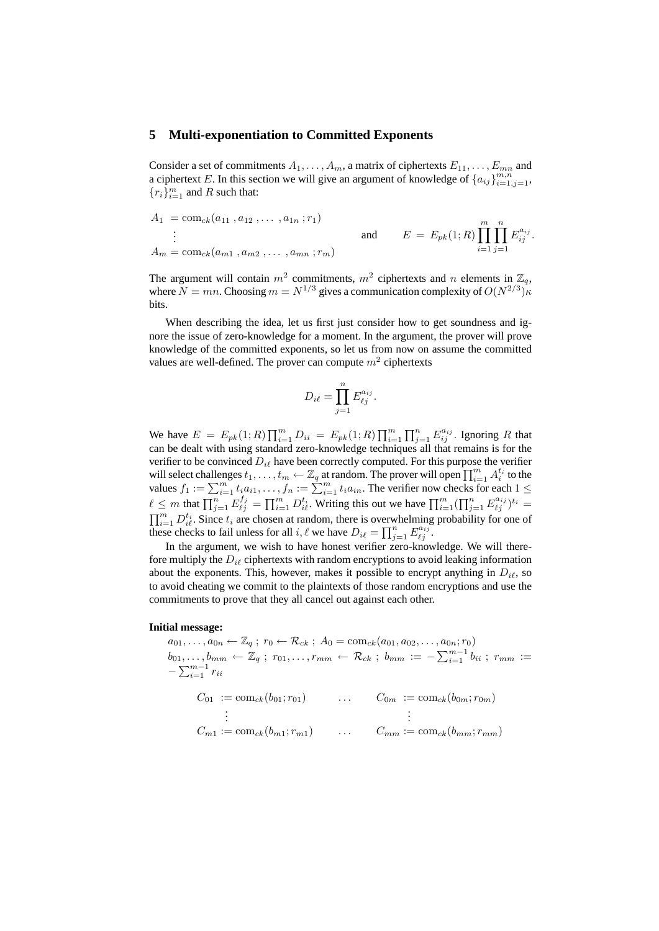### **5 Multi-exponentiation to Committed Exponents**

Consider a set of commitments  $A_1, \ldots, A_m$ , a matrix of ciphertexts  $E_{11}, \ldots, E_{mn}$  and a ciphertext E. In this section we will give an argument of knowledge of  $\{a_{ij}\}_{i=1,j=1}^{m,n}$ ,  ${r_i}_{i=1}^m$  and R such that:

$$
A_1 = \text{com}_{ck}(a_{11}, a_{12}, \dots, a_{1n}; r_1)
$$
  
\n
$$
\vdots
$$
  
\n
$$
A_m = \text{com}_{ck}(a_{m1}, a_{m2}, \dots, a_{mn}; r_m)
$$
  
\nand  
\n
$$
E = E_{pk}(1; R) \prod_{i=1}^{m} \prod_{j=1}^{n} E_{ij}^{a_{ij}}.
$$

The argument will contain  $m^2$  commitments,  $m^2$  ciphertexts and n elements in  $\mathbb{Z}_q$ , where  $N = mn$ . Choosing  $m = N^{1/3}$  gives a communication complexity of  $O(N^{2/3})\kappa$ bits.

When describing the idea, let us first just consider how to get soundness and ignore the issue of zero-knowledge for a moment. In the argument, the prover will prove knowledge of the committed exponents, so let us from now on assume the committed values are well-defined. The prover can compute  $m^2$  ciphertexts

$$
D_{i\ell} = \prod_{j=1}^n E_{\ell j}^{a_{ij}}.
$$

We have  $E = E_{pk}(1;R) \prod_{i=1}^{m} D_{ii} = E_{pk}(1;R) \prod_{i=1}^{m} \prod_{j=1}^{n} E_{ij}^{a_{ij}}$ . Ignoring R that can be dealt with using standard zero-knowledge techniques all that remains is for the verifier to be convinced  $D_{i\ell}$  have been correctly computed. For this purpose the verifier will select challenges  $t_1, \ldots, t_m \leftarrow \mathbb{Z}_q$  at random. The prover will open  $\prod_{i=1}^m A_i^{t_i}$  to the values  $f_1 := \sum_{i=1}^m t_i a_{i1}, \ldots, f_n := \sum_{i=1}^m t_i a_{in}$ . The verifier now checks for each  $1 \leq$  $\ell \leq m$  that  $\prod_{j=1}^n E_{\ell j}^{f_j} = \prod_{i=1}^m D_{i\ell}^{t_i}$ . Writing this out we have  $\prod_{i=1}^m (\prod_{j=1}^n E_{\ell j}^{a_{ij}})^{t_i} =$  $\prod_{i=1}^m D_{i\ell}^{t_i}$ . Since  $t_i$  are chosen at random, there is overwhelming probability for one of these checks to fail unless for all i,  $\ell$  we have  $D_{i\ell} = \prod_{j=1}^{n} E_{\ell j}^{a_{ij}}$ .

In the argument, we wish to have honest verifier zero-knowledge. We will therefore multiply the  $D_{i\ell}$  ciphertexts with random encryptions to avoid leaking information about the exponents. This, however, makes it possible to encrypt anything in  $D_{i\ell}$ , so to avoid cheating we commit to the plaintexts of those random encryptions and use the commitments to prove that they all cancel out against each other.

### **Initial message:**

 $a_{01}, \ldots, a_{0n} \leftarrow \mathbb{Z}_q$ ;  $r_0 \leftarrow \mathcal{R}_{ck}$ ;  $A_0 = \text{com}_{ck}(a_{01}, a_{02}, \ldots, a_{0n}; r_0)$  $b_{01},\ldots,b_{mm} \leftarrow \mathbb{Z}_q \ ; \ r_{01},\ldots,r_{mm} \leftarrow \mathcal{R}_{ck} \ ; \ b_{mm} := -\sum_{i=1}^{m-1} b_{ii} \ ; \ r_{mm} :=$  $-\sum_{i=1}^{m-1} r_{ii}$ 

$$
C_{01} := \text{com}_{ck}(b_{01}; r_{01}) \qquad \dots \qquad C_{0m} := \text{com}_{ck}(b_{0m}; r_{0m})
$$
  
\n
$$
\vdots \qquad \qquad \vdots
$$
  
\n
$$
C_{m1} := \text{com}_{ck}(b_{m1}; r_{m1}) \qquad \dots \qquad C_{mm} := \text{com}_{ck}(b_{mm}; r_{mm})
$$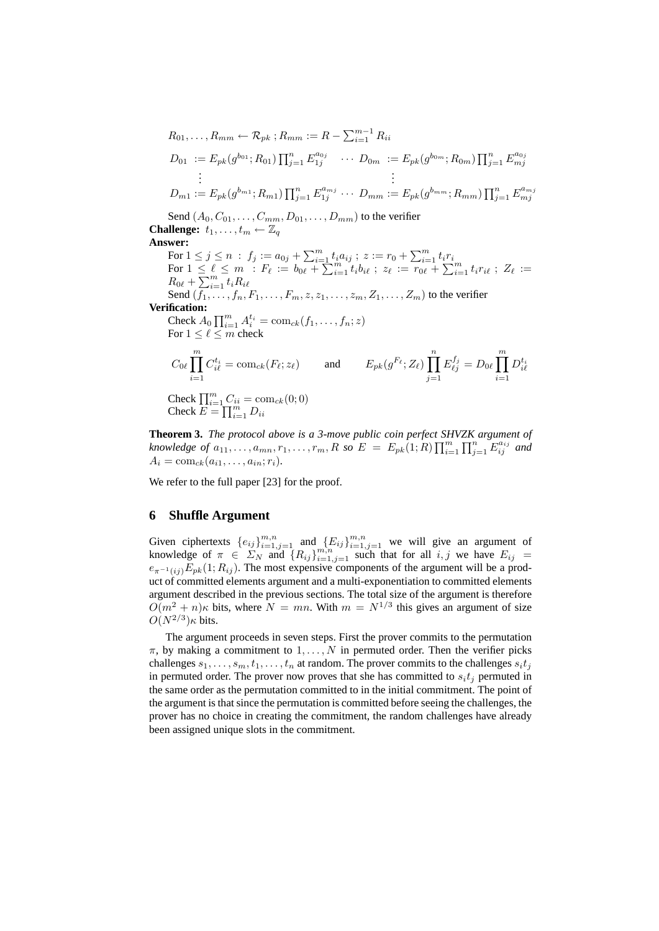$$
R_{01},..., R_{mm} \leftarrow \mathcal{R}_{pk} ; R_{mm} := R - \sum_{i=1}^{m-1} R_{ii}
$$
  
\n
$$
D_{01} := E_{pk}(g^{b_{01}}; R_{01}) \prod_{j=1}^{n} E_{1j}^{a_{0j}} \cdots D_{0m} := E_{pk}(g^{b_{0m}}; R_{0m}) \prod_{j=1}^{n} E_{mj}^{a_{0j}}
$$
  
\n
$$
\vdots
$$
  
\n
$$
D_{m1} := E_{pk}(g^{b_{m1}}; R_{m1}) \prod_{j=1}^{n} E_{1j}^{a_{mj}} \cdots D_{mm} := E_{pk}(g^{b_{mm}}; R_{mm}) \prod_{j=1}^{n} E_{mj}^{a_{mj}}
$$

Send  $(A_0, C_{01}, \ldots, C_{mm}, D_{01}, \ldots, D_{mm})$  to the verifier **Challenge:**  $t_1, \ldots, t_m \leftarrow \mathbb{Z}_q$ 

### **Answer:**

For  $1 \le j \le n$  :  $f_j := a_{0j} + \sum_{i=1}^m t_i a_{ij}$ ;  $z := r_0 + \sum_{i=1}^m t_i r_i$ For  $1 \leq \ell \leq m$  :  $F_{\ell} := b_{0\ell} + \sum_{i=1}^{m} t_i b_{i\ell}$ ;  $z_{\ell} := r_{0\ell} + \sum_{i=1}^{m} t_i r_{i\ell}$ ;  $Z_{\ell} :=$  $R_{0\ell} + \overline{\sum_{i=1}^{m} t_i R_{i\ell}}$ Send  $(\overline{f_1}, \ldots, f_n, F_1, \ldots, F_m, z, z_1, \ldots, z_m, Z_1, \ldots, Z_m)$  to the verifier **Verification:** Check  $A_0 \prod_{i=1}^m A_i^{t_i} = \text{com}_{ck}(f_1, \ldots, f_n; z)$ For  $1 \leq \ell \leq m$  check  $C_{0\ell}$ <sup>m</sup>  $i=1$  $C_{i\ell}^{t_i} = \mathrm{com}_{ck}(F_\ell; z_\ell)$  and  $E_{pk}(g^{F_\ell}; Z_\ell) \prod^n$  $j=1$  $E_{\ell j}^{f_j} = D_{0\ell} \prod^m$  $i=1$  $D_{i\ell}^{t_i}$ Check  $\prod_{i=1}^{m} C_{ii} = \text{com}_{ck}(0;0)$ Check  $E = \prod_{i=1}^{m} D_{ii}$ 

**Theorem 3.** *The protocol above is a 3-move public coin perfect SHVZK argument of knowledge of*  $a_{11},...,a_{mn},r_1,...,r_m$ , *R* so  $E = E_{pk}(1;R) \prod_{i=1}^{m} \prod_{j=1}^{n} E_{ij}^{a_{ij}}$  and  $A_i = \text{com}_{ck}(a_{i1}, \ldots, a_{in}; r_i).$ 

We refer to the full paper [23] for the proof.

# **6 Shuffle Argument**

Given ciphertexts  $\{e_{ij}\}_{i=1,j=1}^{m,n}$  and  $\{E_{ij}\}_{i=1,j=1}^{m,n}$  we will give an argument of knowledge of  $\pi \in \Sigma_N$  and  $\{R_{ij}\}_{i=1,j=1}^{m,n}$  such that for all  $i, j$  we have  $E_{ij}$  =  $e_{\pi^{-1}(ij)}E_{pk}(1; R_{ij})$ . The most expensive components of the argument will be a product of committed elements argument and a multi-exponentiation to committed elements argument described in the previous sections. The total size of the argument is therefore  $O(m^2 + n)\kappa$  bits, where  $N = mn$ . With  $m = N^{1/3}$  this gives an argument of size  $O(N^{2/3})\kappa$  bits.

The argument proceeds in seven steps. First the prover commits to the permutation  $\pi$ , by making a commitment to  $1, \ldots, N$  in permuted order. Then the verifier picks challenges  $s_1, \ldots, s_m, t_1, \ldots, t_n$  at random. The prover commits to the challenges  $s_i t_j$ in permuted order. The prover now proves that she has committed to  $s_i t_j$  permuted in the same order as the permutation committed to in the initial commitment. The point of the argument is that since the permutation is committed before seeing the challenges, the prover has no choice in creating the commitment, the random challenges have already been assigned unique slots in the commitment.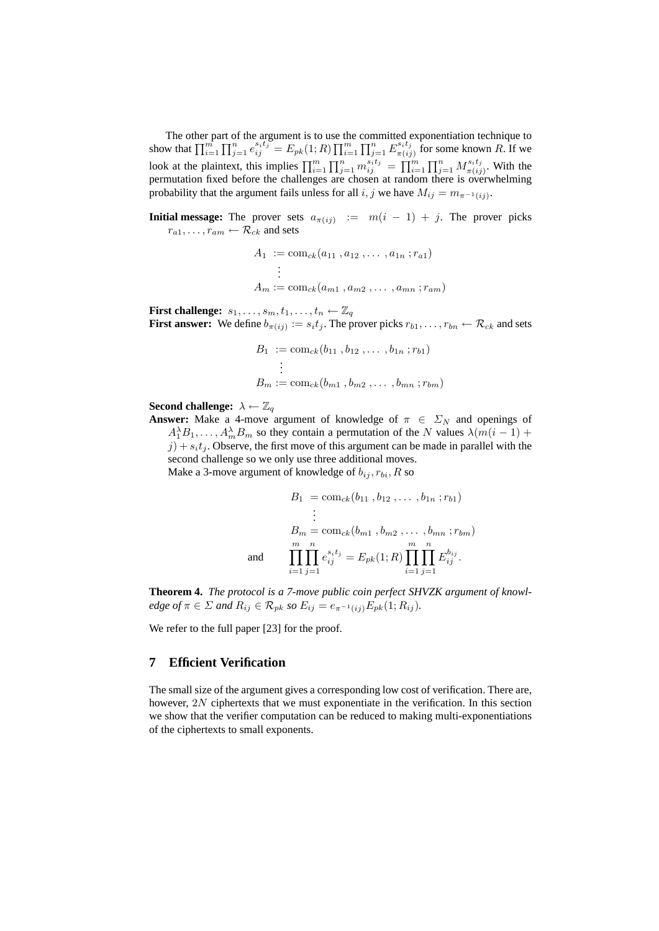The other part of the argument is to use the committed exponentiation technique to show that  $\prod_{i=1}^{m} \prod_{j=1}^{n} e_{ij}^{s_it_j} = E_{pk}(1;R) \prod_{i=1}^{m} \prod_{j=1}^{n} E_{\pi(i)}^{s_it_j}$  $\frac{s_i t_j}{\pi(i_j)}$  for some known R. If we look at the plaintext, this implies  $\prod_{i=1}^m \prod_{j=1}^n m_{ij}^{s_it_j} = \prod_{i=1}^m \prod_{j=1}^n M_{\pi(ij)}^{s_it_j}$  $\frac{\pi(i)}{\pi(ij)}$ . With the permutation fixed before the challenges are chosen at random there is overwhelming probability that the argument fails unless for all  $i, j$  we have  $M_{ij} = m_{\pi^{-1}(ij)}$ .

**Initial message:** The prover sets  $a_{\pi(ij)} := m(i-1) + j$ . The prover picks  $r_{a1}, \ldots, r_{am} \leftarrow \mathcal{R}_{ck}$  and sets

$$
A_1 := \text{com}_{ck}(a_{11}, a_{12}, \dots, a_{1n}; r_{a1})
$$
  
\n
$$
\vdots
$$
  
\n
$$
A_m := \text{com}_{ck}(a_{m1}, a_{m2}, \dots, a_{mn}; r_{am})
$$

**First challenge:**  $s_1, \ldots, s_m, t_1, \ldots, t_n \leftarrow \mathbb{Z}_q$ **First answer:** We define  $b_{\pi(ij)} := s_i t_j$ . The prover picks  $r_{b1}, \ldots, r_{bn} \leftarrow \mathcal{R}_{ck}$  and sets

$$
B_1 := \text{com}_{ck}(b_{11}, b_{12}, \dots, b_{1n}; r_{b1})
$$
  
 
$$
\vdots
$$
  
 
$$
B_m := \text{com}_{ck}(b_{m1}, b_{m2}, \dots, b_{mn}; r_{bm})
$$

**Second challenge:**  $\lambda \leftarrow \mathbb{Z}_q$ 

**Answer:** Make a 4-move argument of knowledge of  $\pi \in \Sigma_N$  and openings of  $A_1^{\lambda}B_1,\ldots,A_m^{\lambda}B_m$  so they contain a permutation of the N values  $\lambda(m(i-1) +$  $j$ ) +  $s_it_j$ . Observe, the first move of this argument can be made in parallel with the second challenge so we only use three additional moves.

Make a 3-move argument of knowledge of  $b_{ij}$ ,  $r_{bi}$ ,  $R$  so

$$
B_1 = \text{com}_{ck}(b_{11}, b_{12}, \dots, b_{1n}; r_{b1})
$$
  
\n
$$
\vdots
$$
  
\n
$$
B_m = \text{com}_{ck}(b_{m1}, b_{m2}, \dots, b_{mn}; r_{bm})
$$
  
\nand  
\n
$$
\prod_{i=1}^m \prod_{j=1}^n e_{ij}^{s_i t_j} = E_{pk}(1; R) \prod_{i=1}^m \prod_{j=1}^n E_{ij}^{b_{ij}}.
$$

**Theorem 4.** *The protocol is a 7-move public coin perfect SHVZK argument of knowledge of*  $\pi \in \Sigma$  *and*  $R_{ij} \in \mathcal{R}_{pk}$  *so*  $E_{ij} = e_{\pi^{-1}(ij)} E_{pk}(1; R_{ij})$ *.* 

We refer to the full paper [23] for the proof.

# **7 Efficient Verification**

The small size of the argument gives a corresponding low cost of verification. There are, however, 2N ciphertexts that we must exponentiate in the verification. In this section we show that the verifier computation can be reduced to making multi-exponentiations of the ciphertexts to small exponents.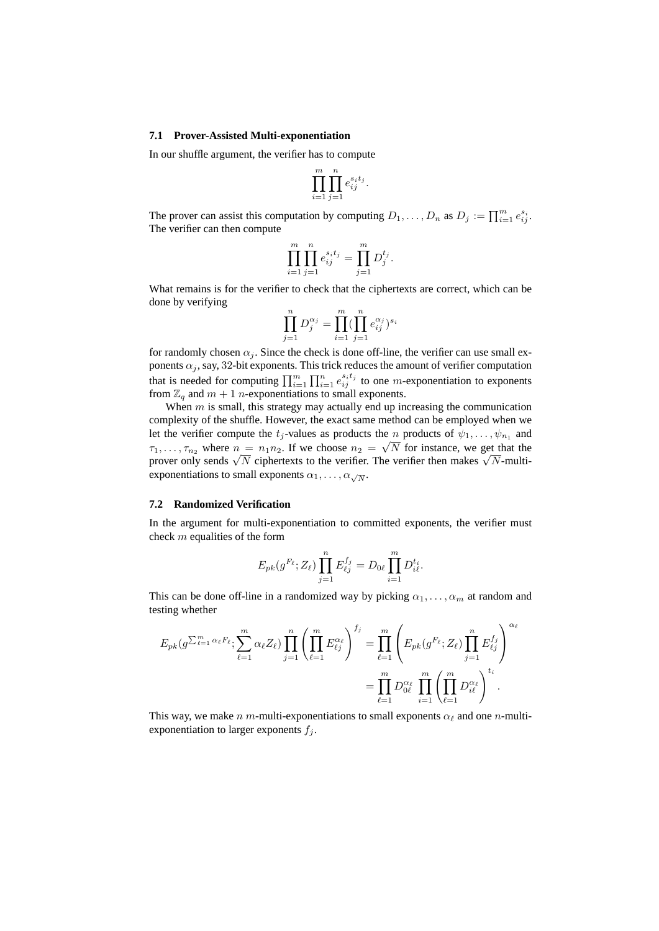#### **7.1 Prover-Assisted Multi-exponentiation**

In our shuffle argument, the verifier has to compute

$$
\prod_{i=1}^m \prod_{j=1}^n e_{ij}^{s_i t_j}.
$$

The prover can assist this computation by computing  $D_1, \ldots, D_n$  as  $D_j := \prod_{i=1}^m e_{ij}^{s_i}$ . The verifier can then compute

$$
\prod_{i=1}^{m} \prod_{j=1}^{n} e_{ij}^{s_i t_j} = \prod_{j=1}^{m} D_j^{t_j}.
$$

What remains is for the verifier to check that the ciphertexts are correct, which can be done by verifying

$$
\prod_{j=1}^{n} D_j^{\alpha_j} = \prod_{i=1}^{m} (\prod_{j=1}^{n} e_{ij}^{\alpha_j})^{s_i}
$$

for randomly chosen  $\alpha_i$ . Since the check is done off-line, the verifier can use small exponents  $\alpha_j$ , say, 32-bit exponents. This trick reduces the amount of verifier computation that is needed for computing  $\prod_{i=1}^m \prod_{i=1}^n e_{ij}^{s_it_j}$  to one *m*-exponentiation to exponents from  $\mathbb{Z}_q$  and  $m+1$  n-exponentiations to small exponents.

When  $m$  is small, this strategy may actually end up increasing the communication complexity of the shuffle. However, the exact same method can be employed when we let the verifier compute the  $t_j$ -values as products the n products of  $\psi_1, \dots, \psi_{n_1}$  and  $\tau_1, \ldots, \tau_{n_2}$  where  $n = n_1 n_2$ . If we choose  $n_2 = \sqrt{N}$  for instance, we get that the  $\tau_1, \ldots, \tau_{n_2}$  where  $n = n_1 n_2$ . If we choose  $n_2 = \sqrt{N}$  for instance, we get that the prover only sends  $\sqrt{N}$  ciphertexts to the verifier. The verifier then makes  $\sqrt{N}$ -multiexponentiations to small exponents  $\alpha_1, \ldots, \alpha_{\sqrt{N}}$ .

### **7.2 Randomized Verification**

In the argument for multi-exponentiation to committed exponents, the verifier must check m equalities of the form

$$
E_{pk}(g^{F_{\ell}}; Z_{\ell}) \prod_{j=1}^{n} E_{\ell j}^{f_j} = D_{0\ell} \prod_{i=1}^{m} D_{i\ell}^{t_i}.
$$

This can be done off-line in a randomized way by picking  $\alpha_1, \ldots, \alpha_m$  at random and testing whether

$$
E_{pk}(g^{\sum_{\ell=1}^{m} \alpha_{\ell} F_{\ell}}; \sum_{\ell=1}^{m} \alpha_{\ell} Z_{\ell}) \prod_{j=1}^{n} \left(\prod_{\ell=1}^{m} E_{\ell j}^{\alpha_{\ell}}\right)^{f_{j}} = \prod_{\ell=1}^{m} \left(E_{pk}(g^{F_{\ell}}; Z_{\ell}) \prod_{j=1}^{n} E_{\ell j}^{f_{j}}\right)^{\alpha_{\ell}}
$$

$$
= \prod_{\ell=1}^{m} D_{0\ell}^{\alpha_{\ell}} \prod_{i=1}^{m} \left(\prod_{\ell=1}^{m} D_{i\ell}^{\alpha_{\ell}}\right)^{t_{i}}.
$$

This way, we make n m-multi-exponentiations to small exponents  $\alpha_{\ell}$  and one n-multiexponentiation to larger exponents  $f_i$ .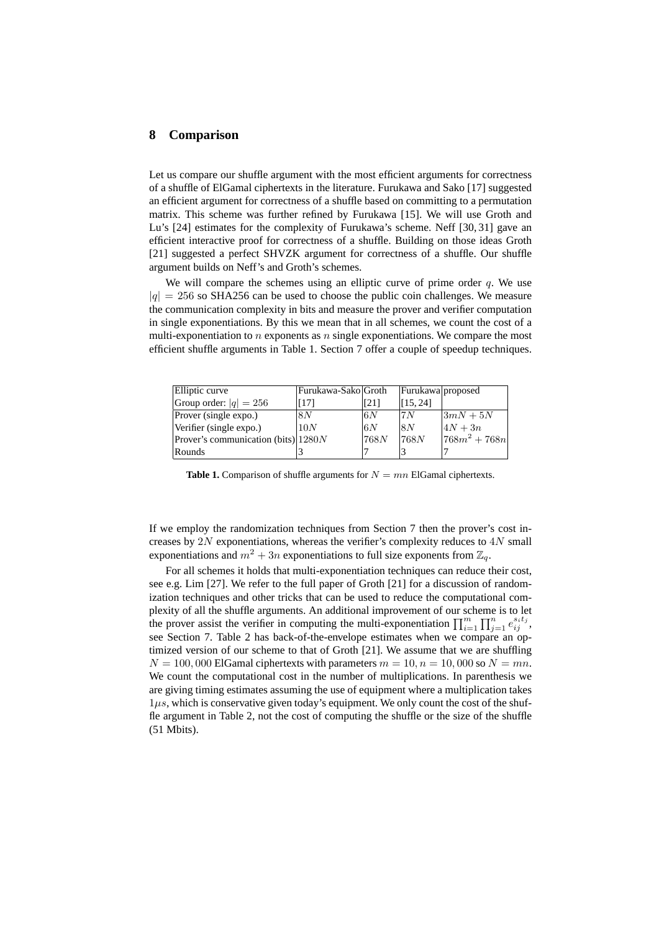### **8 Comparison**

Let us compare our shuffle argument with the most efficient arguments for correctness of a shuffle of ElGamal ciphertexts in the literature. Furukawa and Sako [17] suggested an efficient argument for correctness of a shuffle based on committing to a permutation matrix. This scheme was further refined by Furukawa [15]. We will use Groth and Lu's [24] estimates for the complexity of Furukawa's scheme. Neff [30, 31] gave an efficient interactive proof for correctness of a shuffle. Building on those ideas Groth [21] suggested a perfect SHVZK argument for correctness of a shuffle. Our shuffle argument builds on Neff's and Groth's schemes.

We will compare the schemes using an elliptic curve of prime order  $q$ . We use  $|q| = 256$  so SHA256 can be used to choose the public coin challenges. We measure the communication complexity in bits and measure the prover and verifier computation in single exponentiations. By this we mean that in all schemes, we count the cost of a multi-exponentiation to  $n$  exponents as  $n$  single exponentiations. We compare the most efficient shuffle arguments in Table 1. Section 7 offer a couple of speedup techniques.

| Elliptic curve                         | Furukawa-Sako Groth |      | Furukawa proposed |                 |
|----------------------------------------|---------------------|------|-------------------|-----------------|
| Group order: $ q  = 256$               | [17]                | [21] | [15, 24]          |                 |
| Prover (single expo.)                  | 18N                 | 6N   | 17 N              | $3mN+5N$        |
| Verifier (single expo.)                | 10N                 | 6N   | 18 N              | $4N+3n$         |
| Prover's communication (bits) $ 1280N$ |                     | 768N | 1768N             | $ 768m^2+768n $ |
| Rounds                                 |                     |      |                   |                 |

**Table 1.** Comparison of shuffle arguments for  $N = mn$  ElGamal ciphertexts.

If we employ the randomization techniques from Section 7 then the prover's cost increases by  $2N$  exponentiations, whereas the verifier's complexity reduces to  $4N$  small exponentiations and  $m^2 + 3n$  exponentiations to full size exponents from  $\mathbb{Z}_q$ .

For all schemes it holds that multi-exponentiation techniques can reduce their cost, see e.g. Lim [27]. We refer to the full paper of Groth [21] for a discussion of randomization techniques and other tricks that can be used to reduce the computational complexity of all the shuffle arguments. An additional improvement of our scheme is to let the prover assist the verifier in computing the multi-exponentiation  $\prod_{i=1}^m \prod_{j=1}^n e_{ij}^{s_it_j}$ , see Section 7. Table 2 has back-of-the-envelope estimates when we compare an optimized version of our scheme to that of Groth [21]. We assume that we are shuffling  $N = 100,000$  ElGamal ciphertexts with parameters  $m = 10, n = 10,000$  so  $N = mn$ . We count the computational cost in the number of multiplications. In parenthesis we are giving timing estimates assuming the use of equipment where a multiplication takes  $1\mu s$ , which is conservative given today's equipment. We only count the cost of the shuffle argument in Table 2, not the cost of computing the shuffle or the size of the shuffle (51 Mbits).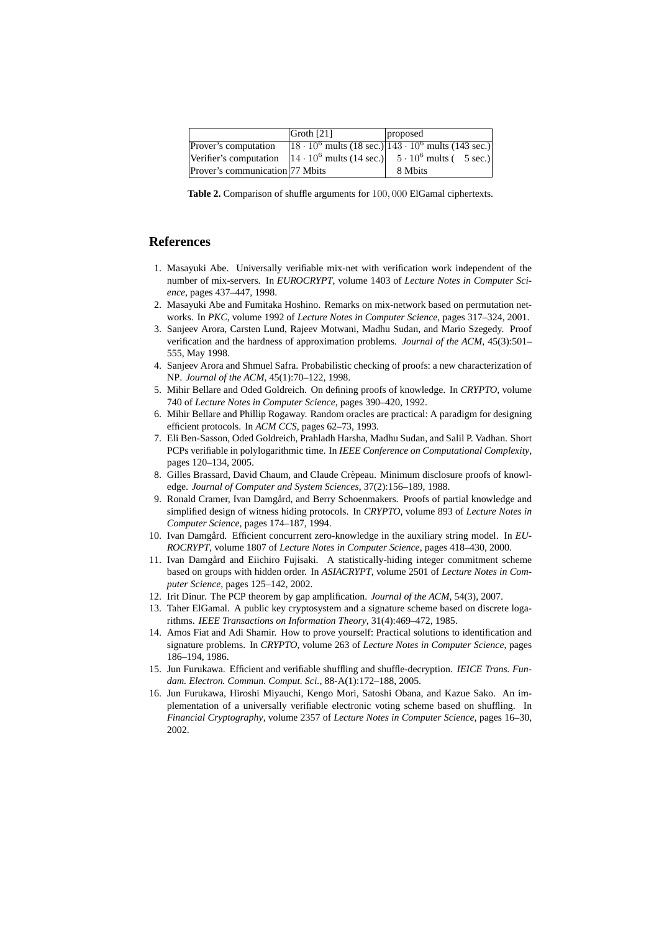|                                 | Groth $[21]$ | proposed                                                                               |
|---------------------------------|--------------|----------------------------------------------------------------------------------------|
| Prover's computation            |              | $18 \cdot 10^6$ mults (18 sec.) $143 \cdot 10^6$ mults (143 sec.)                      |
|                                 |              | Verifier's computation $ 14 \cdot 10^6$ mults (14 sec.) $ 5 \cdot 10^6$ mults (5 sec.) |
| Prover's communication 77 Mbits |              | 8 Mbits                                                                                |

**Table 2.** Comparison of shuffle arguments for 100, 000 ElGamal ciphertexts.

## **References**

- 1. Masayuki Abe. Universally verifiable mix-net with verification work independent of the number of mix-servers. In *EUROCRYPT*, volume 1403 of *Lecture Notes in Computer Science*, pages 437–447, 1998.
- 2. Masayuki Abe and Fumitaka Hoshino. Remarks on mix-network based on permutation networks. In *PKC*, volume 1992 of *Lecture Notes in Computer Science*, pages 317–324, 2001.
- 3. Sanjeev Arora, Carsten Lund, Rajeev Motwani, Madhu Sudan, and Mario Szegedy. Proof verification and the hardness of approximation problems. *Journal of the ACM*, 45(3):501– 555, May 1998.
- 4. Sanjeev Arora and Shmuel Safra. Probabilistic checking of proofs: a new characterization of NP. *Journal of the ACM*, 45(1):70–122, 1998.
- 5. Mihir Bellare and Oded Goldreich. On defining proofs of knowledge. In *CRYPTO*, volume 740 of *Lecture Notes in Computer Science*, pages 390–420, 1992.
- 6. Mihir Bellare and Phillip Rogaway. Random oracles are practical: A paradigm for designing efficient protocols. In *ACM CCS*, pages 62–73, 1993.
- 7. Eli Ben-Sasson, Oded Goldreich, Prahladh Harsha, Madhu Sudan, and Salil P. Vadhan. Short PCPs verifiable in polylogarithmic time. In *IEEE Conference on Computational Complexity*, pages 120–134, 2005.
- 8. Gilles Brassard, David Chaum, and Claude Crepeau. Minimum disclosure proofs of knowl- ` edge. *Journal of Computer and System Sciences*, 37(2):156–189, 1988.
- 9. Ronald Cramer, Ivan Damgård, and Berry Schoenmakers. Proofs of partial knowledge and simplified design of witness hiding protocols. In *CRYPTO*, volume 893 of *Lecture Notes in Computer Science*, pages 174–187, 1994.
- 10. Ivan Damgård. Efficient concurrent zero-knowledge in the auxiliary string model. In EU-*ROCRYPT*, volume 1807 of *Lecture Notes in Computer Science*, pages 418–430, 2000.
- 11. Ivan Damgård and Eiichiro Fujisaki. A statistically-hiding integer commitment scheme based on groups with hidden order. In *ASIACRYPT*, volume 2501 of *Lecture Notes in Computer Science*, pages 125–142, 2002.
- 12. Irit Dinur. The PCP theorem by gap amplification. *Journal of the ACM*, 54(3), 2007.
- 13. Taher ElGamal. A public key cryptosystem and a signature scheme based on discrete logarithms. *IEEE Transactions on Information Theory*, 31(4):469–472, 1985.
- 14. Amos Fiat and Adi Shamir. How to prove yourself: Practical solutions to identification and signature problems. In *CRYPTO*, volume 263 of *Lecture Notes in Computer Science*, pages 186–194, 1986.
- 15. Jun Furukawa. Efficient and verifiable shuffling and shuffle-decryption. *IEICE Trans. Fundam. Electron. Commun. Comput. Sci.*, 88-A(1):172–188, 2005.
- 16. Jun Furukawa, Hiroshi Miyauchi, Kengo Mori, Satoshi Obana, and Kazue Sako. An implementation of a universally verifiable electronic voting scheme based on shuffling. In *Financial Cryptography*, volume 2357 of *Lecture Notes in Computer Science*, pages 16–30, 2002.